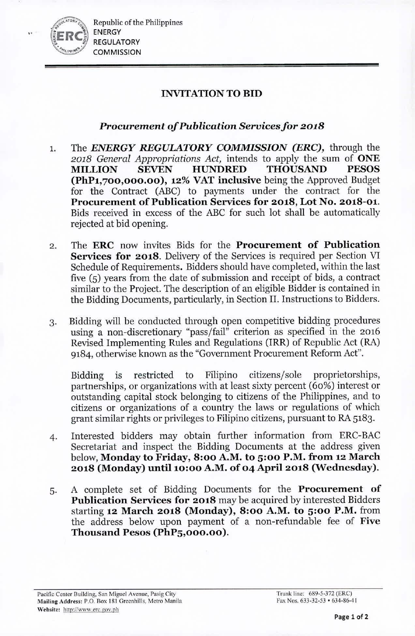

..

Republic of the Philippines ENERGY REGULATORY **COMMISSION** 

## INVITATION TO BID

## *Procurement of Publication Seruicesfor 2018*

- 1. The *ENERGY REGULATORY COMMISSION (ERC),* through the *2018 General Appropriations Act,* intends to apply the sum of ONE MIllION SEVEN HUNDRED THOUSAND PESOS (PhP1,700,000.00), 12% VAT inclusive being the Approved Budget for the Contract (ABC) to payments under the contract for the Procurement of Publication Services for 2018, Lot No. 2018-01. Bids received in excess of the ABC for such lot shall be automatically rejected at bid opening.
- 2. The ERC now invites Bids for the Procurement of Publication Services for 2018. Delivery of the Services is required per Section VI Schedule of Requirements. Bidders should have completed, within the last five (5) years from the date of submission and receipt of bids, a contract similar to the Project. The description of an eligible Bidder is contained in the Bidding Documents, particularly, in Section II. Instructions to Bidders.
- 3. Bidding will be conducted through open competitive bidding procedures using a non-discretionary "pass/fail" criterion as specified in the 2016 Revised Implementing Rules and Regulations (IRR) of Republic Act (RA) 9184, otherwise known as the "Government Procurement Reform Act".

Bidding is restricted to Filipino citizens/sole proprietorships, partnerships, or organizations with at least sixty percent (60%) interest or outstanding capital stock belonging to citizens of the Philippines, and to citizens or organizations of a country the laws or regulations of which grant similar rights or privileges to Filipino citizens, pursuant to RA 5183.

- 4. Interested bidders may obtain further information from ERC-BAC Secretariat and inspect the Bidding Documents at the address given below, Monday to Friday, 8:00 A.M. to 5:00 P.M. from 12 March 2018 (Monday) until 10:00 A.M. of 04 April 2018 (Wednesday).
- 5. A complete set of Bidding Documents for the Procurement of Publication Services for 2018 may be acquired by interested Bidders starting 12 March 2018 (Monday), 8:00 A.M. to 5:00 P.M. from the address below upon payment of a non-refundable fee of Five Thousand Pesos (PhP5,000.00).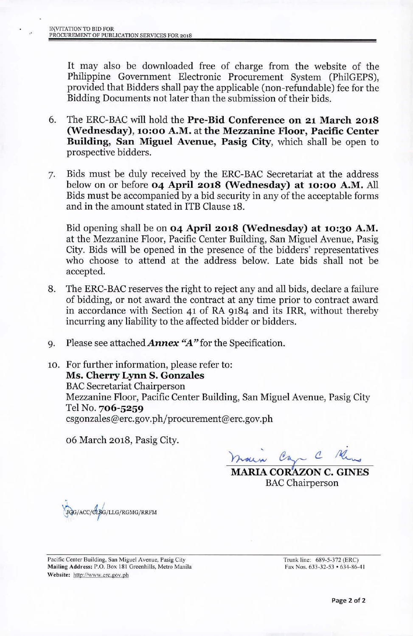It may also be downloaded free of charge from the website of the Philippine Government Electronic Procurement System (PhiIGEPS), provided that Bidders shall pay the applicable (non-refundable) fee for the Bidding Documents not later than the submission of their bids.

- 6. The ERC-BAC will hold the Pre-Bid Conference on 21 March 2018 (Wednesday), 10:00 A.M. at the Mezzanine Floor, Pacific Center Building, San Miguel Avenue, Pasig City, which shall be open to prospective bidders.
- 7. Bids must be duly received by the ERC-BAC Secretariat at the address below on or before 04 April 2018 (Wednesday) at 10:00 A.M. All Bids must be accompanied by a bid security in any of the acceptable forms and in the amount stated in ITB Clause 18.

Bid opening shall be on 04 April 2018 (Wednesday) at 10:30 A.M. at the Mezzanine Floor, Pacific Center Building, San Miguel Avenue, Pasig City. Bids will be opened in the presence of the bidders' representatives who choose to attend at the address below. Late bids shall not be accepted.

- 8. The ERC-BAC reserves the right to reject any and all bids, declare a failure of bidding, or not award the contract at any time prior to contract award in accordance with Section 41 of RA 9184 and its IRR, without thereby incurring any liability to the affected bidder or bidders.
- 9. Please see attached *Annex "A"* for the Specification.
- 10. For further information, please refer to: Ms. Cherry Lynn S. Gonzales **BAC Secretariat Chairperson** Mezzanine Floor, Pacific Center Building, San Miguel Avenue, Pasig City Tel No. 706-5259 [csgonzales@erc.gov.ph/procurement@erc.gov.ph](mailto:csgonzales@erc.gov.ph/procurement@erc.gov.ph)

06 March 2018, Pasig City.

 $m$ den Can C Me

MARIA COKAZON C. GINES **BAC** Chairperson

 $\lambda$  / *~/ACCIJrrG/LLG/RGMG/RIU'M*

Pacific Center Building. San Miguel Avenue, Pasig City Mailing Address: P.O. Box 181 Greenhills, Metro Manila Website: http://www.erc.gov.ph

Trunk line: 689-5-372 (ERC) Fax Nos.  $633-32-53 \cdot 634-86-41$